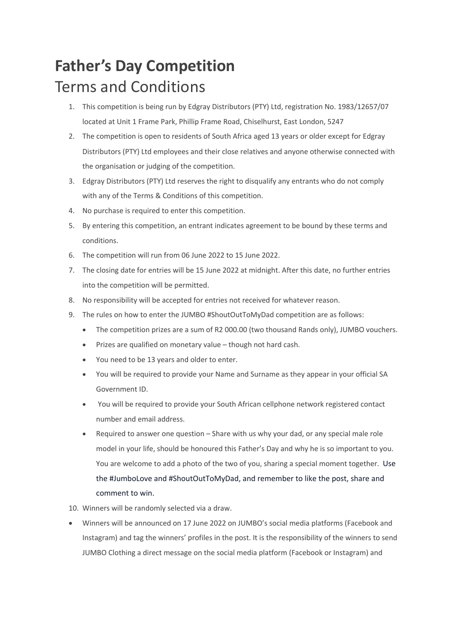## **Father's Day Competition** Terms and Conditions

- 1. This competition is being run by Edgray Distributors (PTY) Ltd, registration No. 1983/12657/07 located at Unit 1 Frame Park, Phillip Frame Road, Chiselhurst, East London, 5247
- 2. The competition is open to residents of South Africa aged 13 years or older except for Edgray Distributors (PTY) Ltd employees and their close relatives and anyone otherwise connected with the organisation or judging of the competition.
- 3. Edgray Distributors (PTY) Ltd reserves the right to disqualify any entrants who do not comply with any of the Terms & Conditions of this competition.
- 4. No purchase is required to enter this competition.
- 5. By entering this competition, an entrant indicates agreement to be bound by these terms and conditions.
- 6. The competition will run from 06 June 2022 to 15 June 2022.
- 7. The closing date for entries will be 15 June 2022 at midnight. After this date, no further entries into the competition will be permitted.
- 8. No responsibility will be accepted for entries not received for whatever reason.
- 9. The rules on how to enter the JUMBO #ShoutOutToMyDad competition are as follows:
	- The competition prizes are a sum of R2 000.00 (two thousand Rands only), JUMBO vouchers.
	- Prizes are qualified on monetary value though not hard cash.
	- You need to be 13 years and older to enter.
	- You will be required to provide your Name and Surname as they appear in your official SA Government ID.
	- You will be required to provide your South African cellphone network registered contact number and email address.
	- Required to answer one question Share with us why your dad, or any special male role model in your life, should be honoured this Father's Day and why he is so important to you. You are welcome to add a photo of the two of you, sharing a special moment together. Use the #JumboLove and #ShoutOutToMyDad, and remember to like the post, share and comment to win.

## 10. Winners will be randomly selected via a draw.

• Winners will be announced on 17 June 2022 on JUMBO's social media platforms (Facebook and Instagram) and tag the winners' profiles in the post. It is the responsibility of the winners to send JUMBO Clothing a direct message on the social media platform (Facebook or Instagram) and